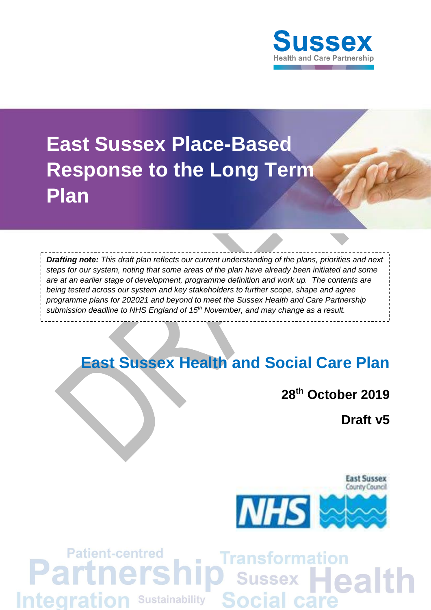

# **East Sussex Place-Based Response to the Long Term Plan**

*Drafting note: This draft plan reflects our current understanding of the plans, priorities and next steps for our system, noting that some areas of the plan have already been initiated and some are at an earlier stage of development, programme definition and work up. The contents are being tested across our system and key stakeholders to further scope, shape and agree programme plans for 202021 and beyond to meet the Sussex Health and Care Partnership submission deadline to NHS England of 15th November, and may change as a result.* 

# **East Sussex Health and Social Care Plan**

# **28th October 2019**

**Draft v5**



#### **Patient-centred Transformation** Partr ers O Sussex Health **Social care Integration Sustainability**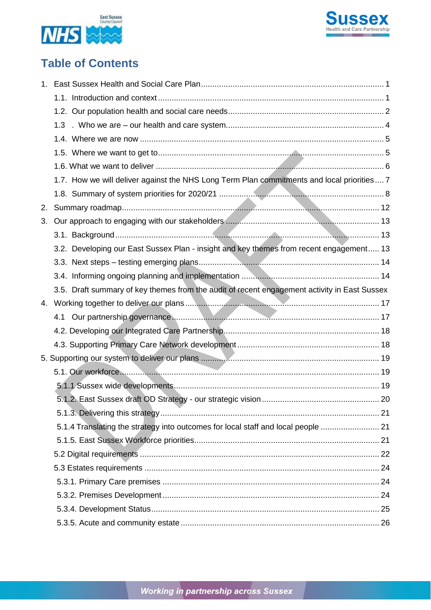



# **Table of Contents**

|    | 1.3                                                                                          |  |
|----|----------------------------------------------------------------------------------------------|--|
|    |                                                                                              |  |
|    |                                                                                              |  |
|    |                                                                                              |  |
|    | 1.7. How we will deliver against the NHS Long Term Plan commitments and local priorities 7   |  |
|    |                                                                                              |  |
| 2. |                                                                                              |  |
| 3. |                                                                                              |  |
|    |                                                                                              |  |
|    | 3.2. Developing our East Sussex Plan - insight and key themes from recent engagement 13      |  |
|    |                                                                                              |  |
|    |                                                                                              |  |
|    | 3.5. Draft summary of key themes from the audit of recent engagement activity in East Sussex |  |
|    |                                                                                              |  |
|    |                                                                                              |  |
|    |                                                                                              |  |
|    |                                                                                              |  |
|    |                                                                                              |  |
|    |                                                                                              |  |
|    |                                                                                              |  |
|    |                                                                                              |  |
|    |                                                                                              |  |
|    | 5.1.4 Translating the strategy into outcomes for local staff and local people  21            |  |
|    |                                                                                              |  |
|    |                                                                                              |  |
|    |                                                                                              |  |
|    |                                                                                              |  |
|    |                                                                                              |  |
|    |                                                                                              |  |
|    |                                                                                              |  |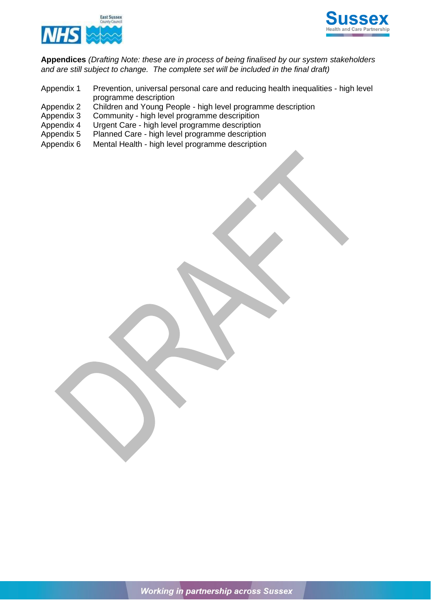



**Appendices** *(Drafting Note: these are in process of being finalised by our system stakeholders and are still subject to change. The complete set will be included in the final draft)*

- Appendix 1 Prevention, universal personal care and reducing health inequalities high level programme description
- Appendix 2 Children and Young People high level programme description<br>Appendix 3 Community high level programme descripition
- Appendix 3 Community high level programme descripition<br>Appendix 4 Urgent Care high level programme description
- Urgent Care high level programme description
- Appendix 5 Planned Care high level programme description
- Appendix 6 Mental Health high level programme description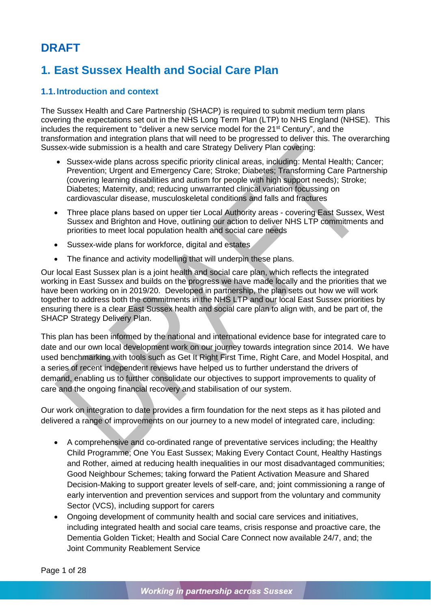# **DRAFT**

# <span id="page-3-0"></span>**1. East Sussex Health and Social Care Plan**

### <span id="page-3-1"></span>**1.1.Introduction and context**

The Sussex Health and Care Partnership (SHACP) is required to submit medium term plans covering the expectations set out in the NHS Long Term Plan (LTP) to NHS England (NHSE). This includes the requirement to "deliver a new service model for the 21<sup>st</sup> Century", and the transformation and integration plans that will need to be progressed to deliver this. The overarching Sussex-wide submission is a health and care Strategy Delivery Plan covering:

- Sussex-wide plans across specific priority clinical areas, including: Mental Health; Cancer; Prevention; Urgent and Emergency Care; Stroke; Diabetes; Transforming Care Partnership (covering learning disabilities and autism for people with high support needs); Stroke; Diabetes; Maternity, and; reducing unwarranted clinical variation focussing on cardiovascular disease, musculoskeletal conditions and falls and fractures
- Three place plans based on upper tier Local Authority areas covering East Sussex, West Sussex and Brighton and Hove, outlining our action to deliver NHS LTP commitments and priorities to meet local population health and social care needs
- Sussex-wide plans for workforce, digital and estates
- The finance and activity modelling that will underpin these plans.

Our local East Sussex plan is a joint health and social care plan, which reflects the integrated working in East Sussex and builds on the progress we have made locally and the priorities that we have been working on in 2019/20. Developed in partnership, the plan sets out how we will work together to address both the commitments in the NHS LTP and our local East Sussex priorities by ensuring there is a clear East Sussex health and social care plan to align with, and be part of, the SHACP Strategy Delivery Plan.

This plan has been informed by the national and international evidence base for integrated care to date and our own local development work on our journey towards integration since 2014. We have used benchmarking with tools such as Get It Right First Time, Right Care, and Model Hospital, and a series of recent independent reviews have helped us to further understand the drivers of demand, enabling us to further consolidate our objectives to support improvements to quality of care and the ongoing financial recovery and stabilisation of our system.

Our work on integration to date provides a firm foundation for the next steps as it has piloted and delivered a range of improvements on our journey to a new model of integrated care, including:

- A comprehensive and co-ordinated range of preventative services including; the Healthy Child Programme; One You East Sussex; Making Every Contact Count, Healthy Hastings and Rother, aimed at reducing health inequalities in our most disadvantaged communities; Good Neighbour Schemes; taking forward the Patient Activation Measure and Shared Decision-Making to support greater levels of self-care, and; joint commissioning a range of early intervention and prevention services and support from the voluntary and community Sector (VCS), including support for carers
- Ongoing development of community health and social care services and initiatives, including integrated health and social care teams, crisis response and proactive care, the Dementia Golden Ticket; Health and Social Care Connect now available 24/7, and; the Joint Community Reablement Service

Page 1 of 28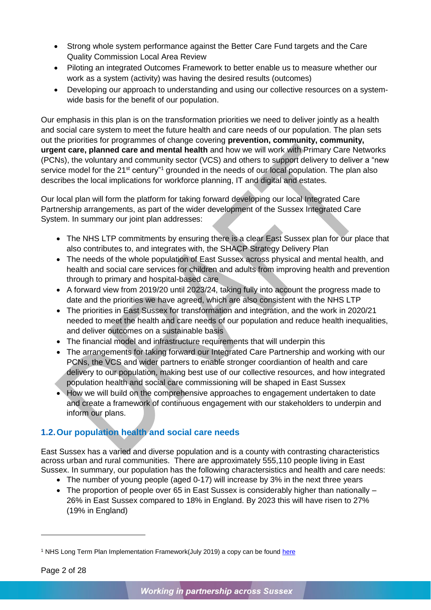- Strong whole system performance against the Better Care Fund targets and the Care Quality Commission Local Area Review
- Piloting an integrated Outcomes Framework to better enable us to measure whether our work as a system (activity) was having the desired results (outcomes)
- Developing our approach to understanding and using our collective resources on a systemwide basis for the benefit of our population.

Our emphasis in this plan is on the transformation priorities we need to deliver jointly as a health and social care system to meet the future health and care needs of our population. The plan sets out the priorities for programmes of change covering **prevention, community, community, urgent care, planned care and mental health** and how we will work with Primary Care Networks (PCNs), the voluntary and community sector (VCS) and others to support delivery to deliver a "new service model for the 21<sup>st</sup> century<sup>"1</sup> grounded in the needs of our local population. The plan also describes the local implications for workforce planning, IT and digital and estates.

Our local plan will form the platform for taking forward developing our local Integrated Care Partnership arrangements, as part of the wider development of the Sussex Integrated Care System. In summary our joint plan addresses:

- The NHS LTP commitments by ensuring there is a clear East Sussex plan for our place that also contributes to, and integrates with, the SHACP Strategy Delivery Plan
- The needs of the whole population of East Sussex across physical and mental health, and health and social care services for children and adults from improving health and prevention through to primary and hospital-based care
- A forward view from 2019/20 until 2023/24, taking fully into account the progress made to date and the priorities we have agreed, which are also consistent with the NHS LTP
- The priorities in East Sussex for transformation and integration, and the work in 2020/21 needed to meet the health and care needs of our population and reduce health inequalities, and deliver outcomes on a sustainable basis
- The financial model and infrastructure requirements that will underpin this
- The arrangements for taking forward our Integrated Care Partnership and working with our PCNs, the VCS and wider partners to enable stronger coordiantion of health and care delivery to our population, making best use of our collective resources, and how integrated population health and social care commissioning will be shaped in East Sussex
- How we will build on the comprehensive approaches to engagement undertaken to date and create a framework of continuous engagement with our stakeholders to underpin and inform our plans.

# <span id="page-4-0"></span>**1.2.Our population health and social care needs**

East Sussex has a varied and diverse population and is a county with contrasting characteristics across urban and rural communities. There are approximately 555,110 people living in East Sussex. In summary, our population has the following charactersistics and health and care needs:

- The number of young people (aged 0-17) will increase by 3% in the next three years
- The proportion of people over 65 in East Sussex is considerably higher than nationally 26% in East Sussex compared to 18% in England. By 2023 this will have risen to 27% (19% in England)

-

<sup>1</sup> NHS Long Term Plan Implementation Framework(July 2019) a copy can be found [here](https://www.longtermplan.nhs.uk/implementation-framework/)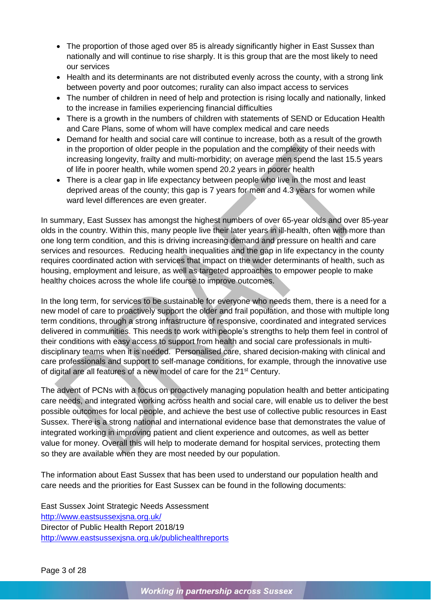- The proportion of those aged over 85 is already significantly higher in East Sussex than nationally and will continue to rise sharply. It is this group that are the most likely to need our services
- Health and its determinants are not distributed evenly across the county, with a strong link between poverty and poor outcomes; rurality can also impact access to services
- The number of children in need of help and protection is rising locally and nationally, linked to the increase in families experiencing financial difficulties
- There is a growth in the numbers of children with statements of SEND or Education Health and Care Plans, some of whom will have complex medical and care needs
- Demand for health and social care will continue to increase, both as a result of the growth in the proportion of older people in the population and the complexity of their needs with increasing longevity, frailty and multi-morbidity; on average men spend the last 15.5 years of life in poorer health, while women spend 20.2 years in poorer health
- There is a clear gap in life expectancy between people who live in the most and least deprived areas of the county; this gap is 7 years for men and 4.3 years for women while ward level differences are even greater.

In summary, East Sussex has amongst the highest numbers of over 65-year olds and over 85-year olds in the country. Within this, many people live their later years in ill-health, often with more than one long term condition, and this is driving increasing demand and pressure on health and care services and resources. Reducing health inequalities and the gap in life expectancy in the county requires coordinated action with services that impact on the wider determinants of health, such as housing, employment and leisure, as well as targeted approaches to empower people to make healthy choices across the whole life course to improve outcomes.

In the long term, for services to be sustainable for everyone who needs them, there is a need for a new model of care to proactively support the older and frail population, and those with multiple long term conditions, through a strong infrastructure of responsive, coordinated and integrated services delivered in communities. This needs to work with people's strengths to help them feel in control of their conditions with easy access to support from health and social care professionals in multidisciplinary teams when it is needed. Personalised care, shared decision-making with clinical and care professionals and support to self-manage conditions, for example, through the innovative use of digital are all features of a new model of care for the 21<sup>st</sup> Century.

The advent of PCNs with a focus on proactively managing population health and better anticipating care needs, and integrated working across health and social care, will enable us to deliver the best possible outcomes for local people, and achieve the best use of collective public resources in East Sussex. There is a strong national and international evidence base that demonstrates the value of integrated working in improving patient and client experience and outcomes, as well as better value for money. Overall this will help to moderate demand for hospital services, protecting them so they are available when they are most needed by our population.

The information about East Sussex that has been used to understand our population health and care needs and the priorities for East Sussex can be found in the following documents:

East Sussex Joint Strategic Needs Assessment <http://www.eastsussexjsna.org.uk/> Director of Public Health Report 2018/19 <http://www.eastsussexjsna.org.uk/publichealthreports>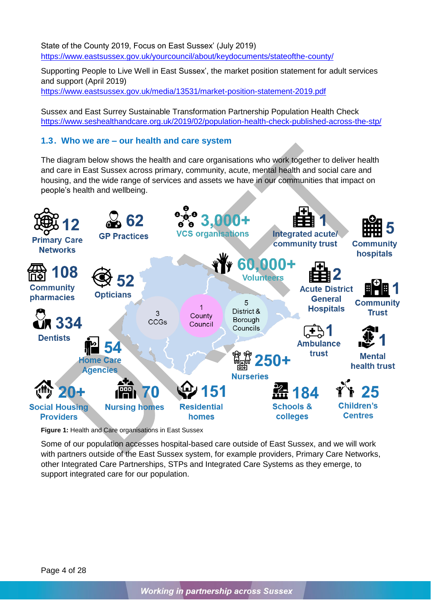State of the County 2019, Focus on East Sussex' (July 2019) <https://www.eastsussex.gov.uk/yourcouncil/about/keydocuments/stateofthe-county/>

Supporting People to Live Well in East Sussex', the market position statement for adult services and support (April 2019) <https://www.eastsussex.gov.uk/media/13531/market-position-statement-2019.pdf>

Sussex and East Surrey Sustainable Transformation Partnership Population Health Check <https://www.seshealthandcare.org.uk/2019/02/population-health-check-published-across-the-stp/>

#### <span id="page-6-0"></span>**1.3. Who we are – our health and care system**

The diagram below shows the health and care organisations who work together to deliver health and care in East Sussex across primary, community, acute, mental health and social care and housing, and the wide range of services and assets we have in our communities that impact on people's health and wellbeing.



**Figure 1:** Health and Care organisations in East Sussex

Some of our population accesses hospital-based care outside of East Sussex, and we will work with partners outside of the East Sussex system, for example providers, Primary Care Networks, other Integrated Care Partnerships, STPs and Integrated Care Systems as they emerge, to support integrated care for our population.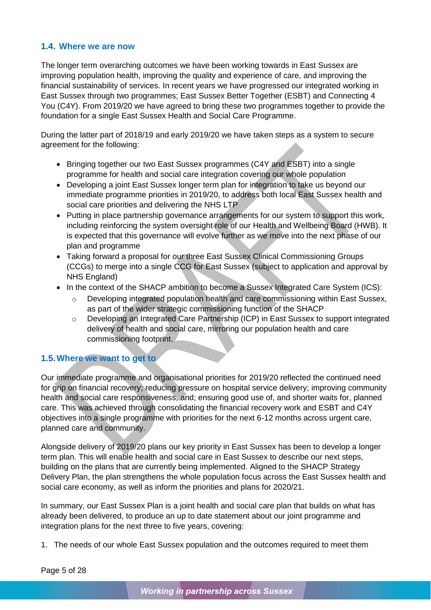### <span id="page-7-0"></span>**1.4. Where we are now**

The longer term overarching outcomes we have been working towards in East Sussex are improving population health, improving the quality and experience of care, and improving the financial sustainability of services. In recent years we have progressed our integrated working in East Sussex through two programmes; East Sussex Better Together (ESBT) and Connecting 4 You (C4Y). From 2019/20 we have agreed to bring these two programmes together to provide the foundation for a single East Sussex Health and Social Care Programme.

During the latter part of 2018/19 and early 2019/20 we have taken steps as a system to secure agreement for the following:

- Bringing together our two East Sussex programmes (C4Y and ESBT) into a single programme for health and social care integration covering our whole population
- Developing a joint East Sussex longer term plan for integration to take us beyond our immediate programme priorities in 2019/20, to address both local East Sussex health and social care priorities and delivering the NHS LTP
- Putting in place partnership governance arrangements for our system to support this work, including reinforcing the system oversight role of our Health and Wellbeing Board (HWB). It is expected that this governance will evolve further as we move into the next phase of our plan and programme
- Taking forward a proposal for our three East Sussex Clinical Commissioning Groups (CCGs) to merge into a single CCG for East Sussex (subject to application and approval by NHS England)
- In the context of the SHACP ambition to become a Sussex Integrated Care System (ICS):
	- Developing integrated population health and care commissioning within East Sussex, as part of the wider strategic commissioning function of the SHACP
	- o Developing an Integrated Care Partnership (ICP) in East Sussex to support integrated delivery of health and social care, mirroring our population health and care commissioning footprint.

# <span id="page-7-1"></span>**1.5.Where we want to get to**

Our immediate programme and organisational priorities for 2019/20 reflected the continued need for grip on financial recovery; reducing pressure on hospital service delivery; improving community health and social care responsiveness, and; ensuring good use of, and shorter waits for, planned care. This was achieved through consolidating the financial recovery work and ESBT and C4Y objectives into a single programme with priorities for the next 6-12 months across urgent care, planned care and community.

Alongside delivery of 2019/20 plans our key priority in East Sussex has been to develop a longer term plan. This will enable health and social care in East Sussex to describe our next steps, building on the plans that are currently being implemented. Aligned to the SHACP Strategy Delivery Plan, the plan strengthens the whole population focus across the East Sussex health and social care economy, as well as inform the priorities and plans for 2020/21.

In summary, our East Sussex Plan is a joint health and social care plan that builds on what has already been delivered, to produce an up to date statement about our joint programme and integration plans for the next three to five years, covering:

1. The needs of our whole East Sussex population and the outcomes required to meet them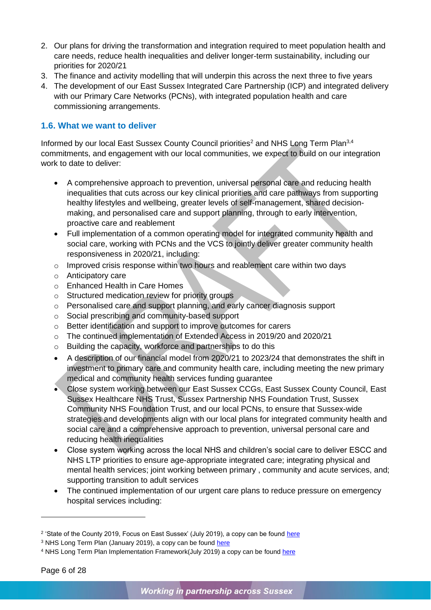- 2. Our plans for driving the transformation and integration required to meet population health and care needs, reduce health inequalities and deliver longer-term sustainability, including our priorities for 2020/21
- 3. The finance and activity modelling that will underpin this across the next three to five years
- 4. The development of our East Sussex Integrated Care Partnership (ICP) and integrated delivery with our Primary Care Networks (PCNs), with integrated population health and care commissioning arrangements.

### <span id="page-8-0"></span>**1.6. What we want to deliver**

Informed by our local East Sussex County Council priorities<sup>2</sup> and NHS Long Term Plan<sup>3,4</sup> commitments, and engagement with our local communities, we expect to build on our integration work to date to deliver:

- A comprehensive approach to prevention, universal personal care and reducing health inequalities that cuts across our key clinical priorities and care pathways from supporting healthy lifestyles and wellbeing, greater levels of self-management, shared decisionmaking, and personalised care and support planning, through to early intervention, proactive care and reablement
- Full implementation of a common operating model for integrated community health and social care, working with PCNs and the VCS to jointly deliver greater community health responsiveness in 2020/21, including:
- o Improved crisis response within two hours and reablement care within two days
- o Anticipatory care
- o Enhanced Health in Care Homes
- o Structured medication review for priority groups
- o Personalised care and support planning, and early cancer diagnosis support
- o Social prescribing and community-based support
- o Better identification and support to improve outcomes for carers
- o The continued implementation of Extended Access in 2019/20 and 2020/21
- o Building the capacity, workforce and partnerships to do this
- A description of our financial model from 2020/21 to 2023/24 that demonstrates the shift in investment to primary care and community health care, including meeting the new primary medical and community health services funding guarantee
- Close system working between our East Sussex CCGs, East Sussex County Council, East Sussex Healthcare NHS Trust, Sussex Partnership NHS Foundation Trust, Sussex Community NHS Foundation Trust, and our local PCNs, to ensure that Sussex-wide strategies and developments align with our local plans for integrated community health and social care and a comprehensive approach to prevention, universal personal care and reducing health inequalities
- Close system working across the local NHS and children's social care to deliver ESCC and NHS LTP priorities to ensure age-appropriate integrated care; integrating physical and mental health services; joint working between primary , community and acute services, and; supporting transition to adult services
- The continued implementation of our urgent care plans to reduce pressure on emergency hospital services including:

-

<sup>&</sup>lt;sup>2</sup> 'State of the County 2019, Focus on East Sussex' (July 2019), a copy can be found <u>here</u>

<sup>&</sup>lt;sup>3</sup> NHS Long Term Plan (January 2019), a copy can be found [here](https://www.england.nhs.uk/long-term-plan/)

<sup>&</sup>lt;sup>4</sup> NHS Long Term Plan Implementation Framework(July 2019) a copy can be found [here](https://www.longtermplan.nhs.uk/implementation-framework/)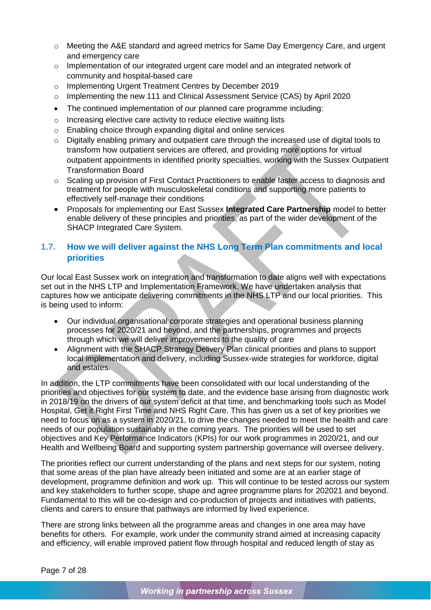- o Meeting the A&E standard and agreed metrics for Same Day Emergency Care, and urgent and emergency care
- o Implementation of our integrated urgent care model and an integrated network of community and hospital-based care
- o Implementing Urgent Treatment Centres by December 2019
- o Implementing the new 111 and Clinical Assessment Service (CAS) by April 2020
- The continued implementation of our planned care programme including:
- o Increasing elective care activity to reduce elective waiting lists
- o Enabling choice through expanding digital and online services
- o Digitally enabling primary and outpatient care through the increased use of digital tools to transform how outpatient services are offered, and providing more options for virtual outpatient appointments in identified priority specialties, working with the Sussex Outpatient Transformation Board
- o Scaling up provision of First Contact Practitioners to enable faster access to diagnosis and treatment for people with musculoskeletal conditions and supporting more patients to effectively self-manage their conditions
- Proposals for implementing our East Sussex **Integrated Care Partnership** model to better enable delivery of these principles and priorities, as part of the wider development of the SHACP Integrated Care System.

# <span id="page-9-0"></span>**1.7. How we will deliver against the NHS Long Term Plan commitments and local priorities**

Our local East Sussex work on integration and transformation to date aligns well with expectations set out in the NHS LTP and Implementation Framework. We have undertaken analysis that captures how we anticipate delivering commitments in the NHS LTP and our local priorities. This is being used to inform:

- Our individual organisational corporate strategies and operational business planning processes for 2020/21 and beyond, and the partnerships, programmes and projects through which we will deliver improvements to the quality of care
- Alignment with the SHACP Strategy Delivery Plan clinical priorities and plans to support local implementation and delivery, including Sussex-wide strategies for workforce, digital and estates.

In addition, the LTP commitments have been consolidated with our local understanding of the priorities and objectives for our system to date, and the evidence base arising from diagnostic work in 2018/19 on the drivers of our system deficit at that time, and benchmarking tools such as Model Hospital, Get it Right First Time and NHS Right Care. This has given us a set of key priorities we need to focus on as a system in 2020/21, to drive the changes needed to meet the health and care needs of our population sustainably in the coming years. The priorities will be used to set objectives and Key Performance Indicators (KPIs) for our work programmes in 2020/21, and our Health and Wellbeing Board and supporting system partnership governance will oversee delivery.

The priorities reflect our current understanding of the plans and next steps for our system, noting that some areas of the plan have already been initiated and some are at an earlier stage of development, programme definition and work up. This will continue to be tested across our system and key stakeholders to further scope, shape and agree programme plans for 202021 and beyond. Fundamental to this will be co-design and co-production of projects and initiatives with patients, clients and carers to ensure that pathways are informed by lived experience.

There are strong links between all the programme areas and changes in one area may have benefits for others. For example, work under the community strand aimed at increasing capacity and efficiency, will enable improved patient flow through hospital and reduced length of stay as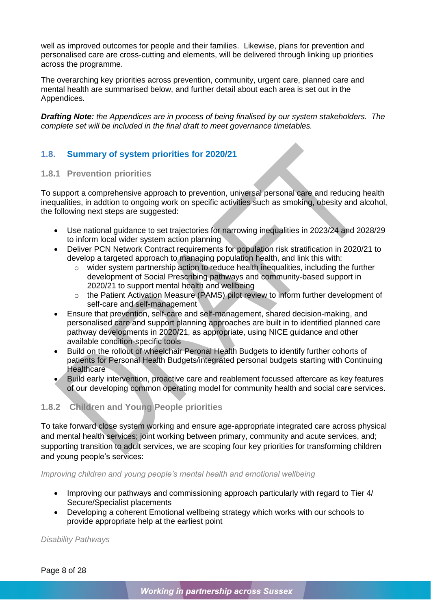well as improved outcomes for people and their families. Likewise, plans for prevention and personalised care are cross-cutting and elements, will be delivered through linking up priorities across the programme.

The overarching key priorities across prevention, community, urgent care, planned care and mental health are summarised below, and further detail about each area is set out in the Appendices.

*Drafting Note: the Appendices are in process of being finalised by our system stakeholders. The complete set will be included in the final draft to meet governance timetables.*

### <span id="page-10-0"></span>**1.8. Summary of system priorities for 2020/21**

### **1.8.1 Prevention priorities**

To support a comprehensive approach to prevention, universal personal care and reducing health inequalities, in addtion to ongoing work on specific activities such as smoking, obesity and alcohol, the following next steps are suggested:

- Use national guidance to set trajectories for narrowing inequalities in 2023/24 and 2028/29 to inform local wider system action planning
- Deliver PCN Network Contract requirements for population risk stratification in 2020/21 to develop a targeted approach to managing population health, and link this with:
	- o wider system partnership action to reduce health inequalities, including the further development of Social Prescribing pathways and community-based support in 2020/21 to support mental health and wellbeing
	- o the Patient Activation Measure (PAMS) pilot review to inform further development of self-care and self-management
- Ensure that prevention, self-care and self-management, shared decision-making, and personalised care and support planning approaches are built in to identified planned care pathway developments in 2020/21, as appropriate, using NICE guidance and other available condition-specific tools
- Build on the rollout of wheelchair Peronal Health Budgets to identify further cohorts of patients for Personal Health Budgets/integrated personal budgets starting with Continuing **Healthcare**
- Build early intervention, proactive care and reablement focussed aftercare as key features of our developing common operating model for community health and social care services.

### **1.8.2 Children and Young People priorities**

To take forward close system working and ensure age-appropriate integrated care across physical and mental health services; joint working between primary, community and acute services, and; supporting transition to adult services, we are scoping four key priorities for transforming children and young people's services:

*Improving children and young people's mental health and emotional wellbeing*

- Improving our pathways and commissioning approach particularly with regard to Tier 4/ Secure/Specialist placements
- Developing a coherent Emotional wellbeing strategy which works with our schools to provide appropriate help at the earliest point

*Disability Pathways*

Page 8 of 28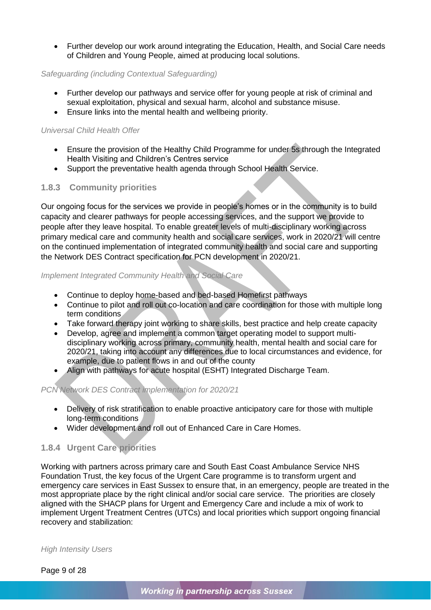• Further develop our work around integrating the Education, Health, and Social Care needs of Children and Young People, aimed at producing local solutions.

### *Safeguarding (including Contextual Safeguarding)*

- Further develop our pathways and service offer for young people at risk of criminal and sexual exploitation, physical and sexual harm, alcohol and substance misuse.
- Ensure links into the mental health and wellbeing priority.

### *Universal Child Health Offer*

- Ensure the provision of the Healthy Child Programme for under 5s through the Integrated Health Visiting and Children's Centres service
- Support the preventative health agenda through School Health Service.

### **1.8.3 Community priorities**

Our ongoing focus for the services we provide in people's homes or in the community is to build capacity and clearer pathways for people accessing services, and the support we provide to people after they leave hospital. To enable greater levels of multi-disciplinary working across primary medical care and community health and social care services, work in 2020/21 will centre on the continued implementation of integrated community health and social care and supporting the Network DES Contract specification for PCN development in 2020/21.

### *Implement Integrated Community Health and Social Care*

- Continue to deploy home-based and bed-based Homefirst pathways
- Continue to pilot and roll out co-location and care coordination for those with multiple long term conditions
- Take forward therapy joint working to share skills, best practice and help create capacity
- Develop, agree and implement a common target operating model to support multidisciplinary working across primary, community health, mental health and social care for 2020/21, taking into account any differences due to local circumstances and evidence, for example, due to patient flows in and out of the county
- Align with pathways for acute hospital (ESHT) Integrated Discharge Team.

### *PCN Network DES Contract implementation for 2020/21*

- Delivery of risk stratification to enable proactive anticipatory care for those with multiple long-term conditions
- Wider development and roll out of Enhanced Care in Care Homes.

### **1.8.4 Urgent Care priorities**

Working with partners across primary care and South East Coast Ambulance Service NHS Foundation Trust, the key focus of the Urgent Care programme is to transform urgent and emergency care services in East Sussex to ensure that, in an emergency, people are treated in the most appropriate place by the right clinical and/or social care service. The priorities are closely aligned with the SHACP plans for Urgent and Emergency Care and include a mix of work to implement Urgent Treatment Centres (UTCs) and local priorities which support ongoing financial recovery and stabilization:

*High Intensity Users*

Page 9 of 28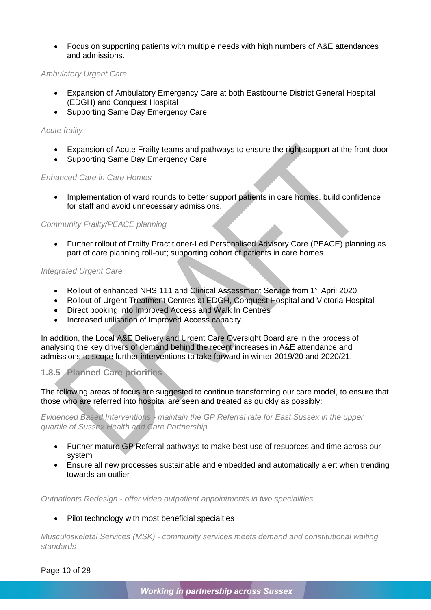• Focus on supporting patients with multiple needs with high numbers of A&E attendances and admissions.

#### *Ambulatory Urgent Care*

- Expansion of Ambulatory Emergency Care at both Eastbourne District General Hospital (EDGH) and Conquest Hospital
- Supporting Same Day Emergency Care.

#### *Acute frailty*

- Expansion of Acute Frailty teams and pathways to ensure the right support at the front door
- Supporting Same Day Emergency Care.

#### *Enhanced Care in Care Homes*

• Implementation of ward rounds to better support patients in care homes, build confidence for staff and avoid unnecessary admissions.

#### *Community Frailty/PEACE planning*

• Further rollout of Frailty Practitioner-Led Personalised Advisory Care (PEACE) planning as part of care planning roll-out; supporting cohort of patients in care homes.

#### *Integrated Urgent Care*

- Rollout of enhanced NHS 111 and Clinical Assessment Service from 1<sup>st</sup> April 2020
- Rollout of Urgent Treatment Centres at EDGH, Conquest Hospital and Victoria Hospital
- Direct booking into Improved Access and Walk In Centres
- Increased utilisation of Improved Access capacity.

In addition, the Local A&E Delivery and Urgent Care Oversight Board are in the process of analysing the key drivers of demand behind the recent increases in A&E attendance and admissions to scope further interventions to take forward in winter 2019/20 and 2020/21.

### **1.8.5 Planned Care priorities**

The following areas of focus are suggested to continue transforming our care model, to ensure that those who are referred into hospital are seen and treated as quickly as possibly:

*Evidenced Based Interventions - maintain the GP Referral rate for East Sussex in the upper quartile of Sussex Health and Care Partnership*

- Further mature GP Referral pathways to make best use of resuorces and time across our system
- Ensure all new processes sustainable and embedded and automatically alert when trending towards an outlier

*Outpatients Redesign - offer video outpatient appointments in two specialities*

#### Pilot technology with most beneficial specialties

*Musculoskeletal Services (MSK) - community services meets demand and constitutional waiting standards*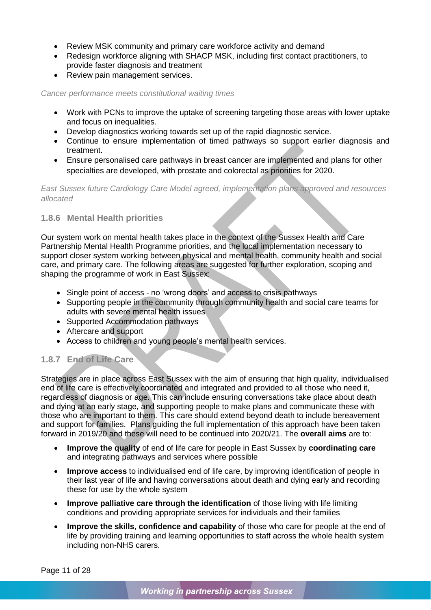- Review MSK community and primary care workforce activity and demand
- Redesign workforce aligning with SHACP MSK, including first contact practitioners, to provide faster diagnosis and treatment
- Review pain management services.

*Cancer performance meets constitutional waiting times*

- Work with PCNs to improve the uptake of screening targeting those areas with lower uptake and focus on inequalities.
- Develop diagnostics working towards set up of the rapid diagnostic service.
- Continue to ensure implementation of timed pathways so support earlier diagnosis and treatment.
- Ensure personalised care pathways in breast cancer are implemented and plans for other specialties are developed, with prostate and colorectal as priorities for 2020.

*East Sussex future Cardiology Care Model agreed, implementation plans approved and resources allocated*

### **1.8.6 Mental Health priorities**

Our system work on mental health takes place in the context of the Sussex Health and Care Partnership Mental Health Programme priorities, and the local implementation necessary to support closer system working between physical and mental health, community health and social care, and primary care. The following areas are suggested for further exploration, scoping and shaping the programme of work in East Sussex:

- Single point of access no 'wrong doors' and access to crisis pathways
- Supporting people in the community through community health and social care teams for adults with severe mental health issues
- Supported Accommodation pathways
- Aftercare and support
- Access to children and young people's mental health services.

# **1.8.7 End of Life Care**

Strategies are in place across East Sussex with the aim of ensuring that high quality, individualised end of life care is effectively coordinated and integrated and provided to all those who need it, regardless of diagnosis or age. This can include ensuring conversations take place about death and dying at an early stage, and supporting people to make plans and communicate these with those who are important to them. This care should extend beyond death to include bereavement and support for families. Plans guiding the full implementation of this approach have been taken forward in 2019/20 and these will need to be continued into 2020/21. The **overall aims** are to:

- **Improve the quality** of end of life care for people in East Sussex by **coordinating care** and integrating pathways and services where possible
- **Improve access** to individualised end of life care, by improving identification of people in their last year of life and having conversations about death and dying early and recording these for use by the whole system
- **Improve palliative care through the identification** of those living with life limiting conditions and providing appropriate services for individuals and their families
- **Improve the skills, confidence and capability** of those who care for people at the end of life by providing training and learning opportunities to staff across the whole health system including non-NHS carers.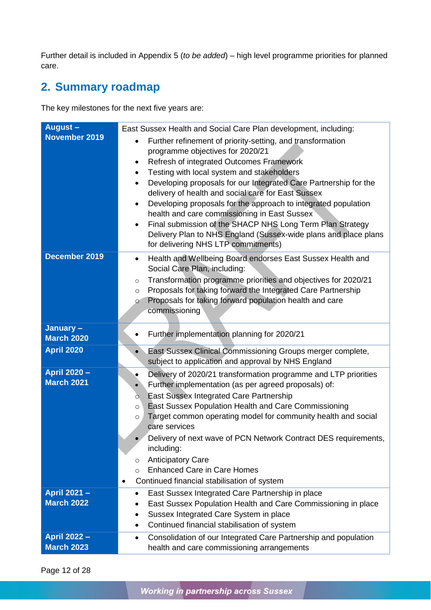Further detail is included in Appendix 5 (*to be added*) – high level programme priorities for planned care.

# <span id="page-14-0"></span>**2. Summary roadmap**

The key milestones for the next five years are:

| August-<br>November 2019                 | East Sussex Health and Social Care Plan development, including:<br>Further refinement of priority-setting, and transformation<br>$\bullet$<br>programme objectives for 2020/21<br>Refresh of integrated Outcomes Framework<br>٠<br>Testing with local system and stakeholders<br>$\bullet$<br>Developing proposals for our Integrated Care Partnership for the<br>$\bullet$<br>delivery of health and social care for East Sussex<br>Developing proposals for the approach to integrated population<br>$\bullet$<br>health and care commissioning in East Sussex<br>Final submission of the SHACP NHS Long Term Plan Strategy<br>$\bullet$<br>Delivery Plan to NHS England (Sussex-wide plans and place plans<br>for delivering NHS LTP commitments) |  |  |
|------------------------------------------|------------------------------------------------------------------------------------------------------------------------------------------------------------------------------------------------------------------------------------------------------------------------------------------------------------------------------------------------------------------------------------------------------------------------------------------------------------------------------------------------------------------------------------------------------------------------------------------------------------------------------------------------------------------------------------------------------------------------------------------------------|--|--|
| December 2019                            | Health and Wellbeing Board endorses East Sussex Health and<br>$\bullet$<br>Social Care Plan, including:<br>Transformation programme priorities and objectives for 2020/21<br>$\circ$<br>Proposals for taking forward the Integrated Care Partnership<br>$\circ$<br>Proposals for taking forward population health and care<br>$\circ$<br>commissioning                                                                                                                                                                                                                                                                                                                                                                                               |  |  |
| January-<br><b>March 2020</b>            | Further implementation planning for 2020/21<br>٠                                                                                                                                                                                                                                                                                                                                                                                                                                                                                                                                                                                                                                                                                                     |  |  |
| <b>April 2020</b>                        | East Sussex Clinical Commissioning Groups merger complete,<br>subject to application and approval by NHS England                                                                                                                                                                                                                                                                                                                                                                                                                                                                                                                                                                                                                                     |  |  |
| April 2020 -<br><b>March 2021</b>        | Delivery of 2020/21 transformation programme and LTP priorities<br>٠<br>Further implementation (as per agreed proposals) of:<br>East Sussex Integrated Care Partnership<br>Ο.<br>East Sussex Population Health and Care Commissioning<br>$\circ$<br>Target common operating model for community health and social<br>O<br>care services<br>Delivery of next wave of PCN Network Contract DES requirements,<br>$\bullet$<br>including:<br><b>Anticipatory Care</b><br>$\circ$<br><b>Enhanced Care in Care Homes</b><br>$\circ$<br>Continued financial stabilisation of system<br>$\bullet$                                                                                                                                                            |  |  |
| April 2021 -<br><b>March 2022</b>        | East Sussex Integrated Care Partnership in place<br>$\bullet$<br>East Sussex Population Health and Care Commissioning in place<br>Sussex Integrated Care System in place<br>$\bullet$<br>Continued financial stabilisation of system<br>٠                                                                                                                                                                                                                                                                                                                                                                                                                                                                                                            |  |  |
| <b>April 2022 -</b><br><b>March 2023</b> | Consolidation of our Integrated Care Partnership and population<br>٠<br>health and care commissioning arrangements                                                                                                                                                                                                                                                                                                                                                                                                                                                                                                                                                                                                                                   |  |  |

Page 12 of 28

Working in partnership across Sussex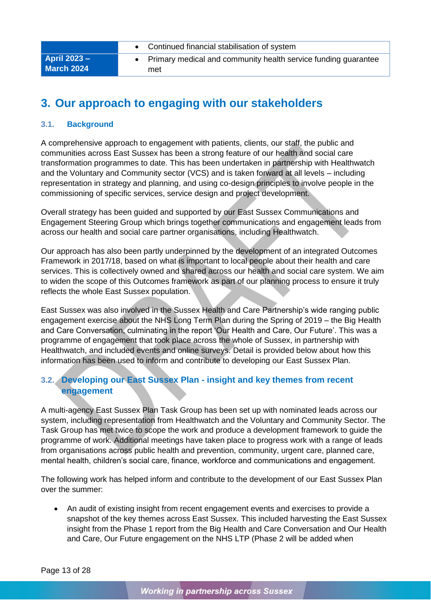|                                          | Continued financial stabilisation of system                           |
|------------------------------------------|-----------------------------------------------------------------------|
| <b>April 2023 –</b><br><b>March 2024</b> | Primary medical and community health service funding guarantee<br>met |

# <span id="page-15-0"></span>**3. Our approach to engaging with our stakeholders**

### <span id="page-15-1"></span>**3.1. Background**

A comprehensive approach to engagement with patients, clients, our staff, the public and communities across East Sussex has been a strong feature of our health and social care transformation programmes to date. This has been undertaken in partnership with Healthwatch and the Voluntary and Community sector (VCS) and is taken forward at all levels – including representation in strategy and planning, and using co-design principles to involve people in the commissioning of specific services, service design and project development.

Overall strategy has been guided and supported by our East Sussex Communications and Engagement Steering Group which brings together communications and engagement leads from across our health and social care partner organisations, including Healthwatch.

Our approach has also been partly underpinned by the development of an integrated Outcomes Framework in 2017/18, based on what is important to local people about their health and care services. This is collectively owned and shared across our health and social care system. We aim to widen the scope of this Outcomes framework as part of our planning process to ensure it truly reflects the whole East Sussex population.

East Sussex was also involved in the Sussex Health and Care Partnership's wide ranging public engagement exercise about the NHS Long Term Plan during the Spring of 2019 – the Big Health and Care Conversation, culminating in the report 'Our Health and Care, Our Future'. This was a programme of engagement that took place across the whole of Sussex, in partnership with Healthwatch, and included events and online surveys. Detail is provided below about how this information has been used to inform and contribute to developing our East Sussex Plan.

# <span id="page-15-2"></span>**3.2. Developing our East Sussex Plan - insight and key themes from recent engagement**

A multi-agency East Sussex Plan Task Group has been set up with nominated leads across our system, including representation from Healthwatch and the Voluntary and Community Sector. The Task Group has met twice to scope the work and produce a development framework to guide the programme of work. Additional meetings have taken place to progress work with a range of leads from organisations across public health and prevention, community, urgent care, planned care, mental health, children's social care, finance, workforce and communications and engagement.

The following work has helped inform and contribute to the development of our East Sussex Plan over the summer:

• An audit of existing insight from recent engagement events and exercises to provide a snapshot of the key themes across East Sussex. This included harvesting the East Sussex insight from the Phase 1 report from the Big Health and Care Conversation and Our Health and Care, Our Future engagement on the NHS LTP (Phase 2 will be added when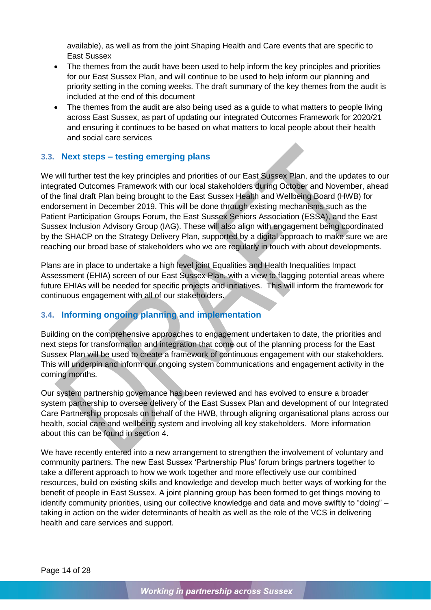available), as well as from the joint Shaping Health and Care events that are specific to East Sussex

- The themes from the audit have been used to help inform the key principles and priorities for our East Sussex Plan, and will continue to be used to help inform our planning and priority setting in the coming weeks. The draft summary of the key themes from the audit is included at the end of this document
- The themes from the audit are also being used as a quide to what matters to people living across East Sussex, as part of updating our integrated Outcomes Framework for 2020/21 and ensuring it continues to be based on what matters to local people about their health and social care services

### <span id="page-16-0"></span>**3.3. Next steps – testing emerging plans**

We will further test the key principles and priorities of our East Sussex Plan, and the updates to our integrated Outcomes Framework with our local stakeholders during October and November, ahead of the final draft Plan being brought to the East Sussex Health and Wellbeing Board (HWB) for endorsement in December 2019. This will be done through existing mechanisms such as the Patient Participation Groups Forum, the East Sussex Seniors Association (ESSA), and the East Sussex Inclusion Advisory Group (IAG). These will also align with engagement being coordinated by the SHACP on the Strategy Delivery Plan, supported by a digital approach to make sure we are reaching our broad base of stakeholders who we are regularly in touch with about developments.

Plans are in place to undertake a high level joint Equalities and Health Inequalities Impact Assessment (EHIA) screen of our East Sussex Plan, with a view to flagging potential areas where future EHIAs will be needed for specific projects and initiatives. This will inform the framework for continuous engagement with all of our stakeholders.

# <span id="page-16-1"></span>**3.4. Informing ongoing planning and implementation**

Building on the comprehensive approaches to engagement undertaken to date, the priorities and next steps for transformation and integration that come out of the planning process for the East Sussex Plan will be used to create a framework of continuous engagement with our stakeholders. This will underpin and inform our ongoing system communications and engagement activity in the coming months.

Our system partnership governance has been reviewed and has evolved to ensure a broader system partnership to oversee delivery of the East Sussex Plan and development of our Integrated Care Partnership proposals on behalf of the HWB, through aligning organisational plans across our health, social care and wellbeing system and involving all key stakeholders. More information about this can be found in section 4.

We have recently entered into a new arrangement to strengthen the involvement of voluntary and community partners. The new East Sussex 'Partnership Plus' forum brings partners together to take a different approach to how we work together and more effectively use our combined resources, build on existing skills and knowledge and develop much better ways of working for the benefit of people in East Sussex. A joint planning group has been formed to get things moving to identify community priorities, using our collective knowledge and data and move swiftly to "doing" – taking in action on the wider determinants of health as well as the role of the VCS in delivering health and care services and support.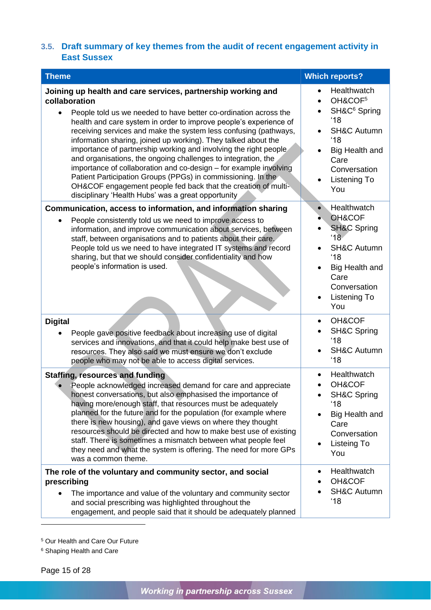# <span id="page-17-0"></span>**3.5. Draft summary of key themes from the audit of recent engagement activity in East Sussex**

| <b>Theme</b>                                                                                                                                                                                                                                                                                                                                                                                                                                                                                                                                                                                                                                                                                                                                                  | <b>Which reports?</b>                                                                                                                                                                                                              |
|---------------------------------------------------------------------------------------------------------------------------------------------------------------------------------------------------------------------------------------------------------------------------------------------------------------------------------------------------------------------------------------------------------------------------------------------------------------------------------------------------------------------------------------------------------------------------------------------------------------------------------------------------------------------------------------------------------------------------------------------------------------|------------------------------------------------------------------------------------------------------------------------------------------------------------------------------------------------------------------------------------|
| Joining up health and care services, partnership working and<br>collaboration<br>People told us we needed to have better co-ordination across the<br>health and care system in order to improve people's experience of<br>receiving services and make the system less confusing (pathways,<br>information sharing, joined up working). They talked about the<br>importance of partnership working and involving the right people<br>and organisations, the ongoing challenges to integration, the<br>importance of collaboration and co-design - for example involving<br>Patient Participation Groups (PPGs) in commissioning. In the<br>OH&COF engagement people fed back that the creation of multi-<br>disciplinary 'Health Hubs' was a great opportunity | Healthwatch<br>$\bullet$<br>OH&COF <sup>5</sup><br>$\bullet$<br>SH&C <sup>6</sup> Spring<br>'18<br><b>SH&amp;C Autumn</b><br>'18<br>Big Health and<br>$\bullet$<br>Care<br>Conversation<br><b>Listening To</b><br>$\bullet$<br>You |
| Communication, access to information, and information sharing                                                                                                                                                                                                                                                                                                                                                                                                                                                                                                                                                                                                                                                                                                 | Healthwatch<br>$\bullet$                                                                                                                                                                                                           |
| People consistently told us we need to improve access to<br>information, and improve communication about services, between<br>staff, between organisations and to patients about their care.<br>People told us we need to have integrated IT systems and record<br>sharing, but that we should consider confidentiality and how<br>people's information is used.                                                                                                                                                                                                                                                                                                                                                                                              | OH&COF<br>۰<br><b>SH&amp;C Spring</b><br>'18<br><b>SH&amp;C Autumn</b><br>'18<br>Big Health and<br>Care<br>Conversation<br>Listening To<br>$\bullet$<br>You                                                                        |
| <b>Digital</b>                                                                                                                                                                                                                                                                                                                                                                                                                                                                                                                                                                                                                                                                                                                                                | OH&COF<br>$\bullet$<br><b>SH&amp;C Spring</b>                                                                                                                                                                                      |
| People gave positive feedback about increasing use of digital<br>services and innovations, and that it could help make best use of<br>resources. They also said we must ensure we don't exclude<br>people who may not be able to access digital services.                                                                                                                                                                                                                                                                                                                                                                                                                                                                                                     | '18<br><b>SH&amp;C Autumn</b><br>'18                                                                                                                                                                                               |
| <b>Staffing, resources and funding</b><br>People acknowledged increased demand for care and appreciate                                                                                                                                                                                                                                                                                                                                                                                                                                                                                                                                                                                                                                                        | Healthwatch<br>$\bullet$<br>OH&COF                                                                                                                                                                                                 |
| honest conversations, but also emphasised the importance of<br>having more/enough staff, that resources must be adequately<br>planned for the future and for the population (for example where<br>there is new housing), and gave views on where they thought<br>resources should be directed and how to make best use of existing<br>staff. There is sometimes a mismatch between what people feel<br>they need and what the system is offering. The need for more GPs<br>was a common theme.                                                                                                                                                                                                                                                                | <b>SH&amp;C Spring</b><br>'18<br>Big Health and<br>Care<br>Conversation<br>Listeing To<br>You                                                                                                                                      |
| The role of the voluntary and community sector, and social<br>prescribing                                                                                                                                                                                                                                                                                                                                                                                                                                                                                                                                                                                                                                                                                     | Healthwatch<br>٠<br>OH&COF                                                                                                                                                                                                         |
| The importance and value of the voluntary and community sector<br>and social prescribing was highlighted throughout the<br>engagement, and people said that it should be adequately planned                                                                                                                                                                                                                                                                                                                                                                                                                                                                                                                                                                   | <b>SH&amp;C Autumn</b><br>'18                                                                                                                                                                                                      |

<sup>5</sup> Our Health and Care Our Future

<sup>6</sup> Shaping Health and Care

Page 15 of 28

-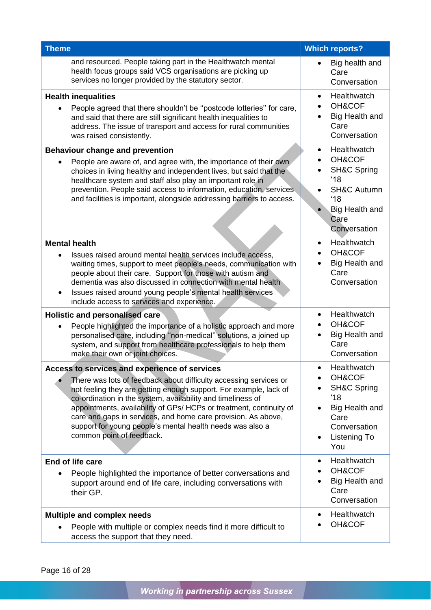| <b>Theme</b>                                                                                                                                                                                                                                                                                                                                                                                                                                                                             | <b>Which reports?</b>                                                                                                                                           |
|------------------------------------------------------------------------------------------------------------------------------------------------------------------------------------------------------------------------------------------------------------------------------------------------------------------------------------------------------------------------------------------------------------------------------------------------------------------------------------------|-----------------------------------------------------------------------------------------------------------------------------------------------------------------|
| and resourced. People taking part in the Healthwatch mental<br>health focus groups said VCS organisations are picking up<br>services no longer provided by the statutory sector.                                                                                                                                                                                                                                                                                                         | Big health and<br>Care<br>Conversation                                                                                                                          |
| <b>Health inequalities</b><br>People agreed that there shouldn't be "postcode lotteries" for care,<br>and said that there are still significant health inequalities to<br>address. The issue of transport and access for rural communities<br>was raised consistently.                                                                                                                                                                                                                   | Healthwatch<br>$\bullet$<br>OH&COF<br>Big Health and<br>Care<br>Conversation                                                                                    |
| <b>Behaviour change and prevention</b><br>People are aware of, and agree with, the importance of their own<br>choices in living healthy and independent lives, but said that the<br>healthcare system and staff also play an important role in<br>prevention. People said access to information, education, services<br>and facilities is important, alongside addressing barriers to access.                                                                                            | Healthwatch<br>$\bullet$<br>OH&COF<br><b>SH&amp;C Spring</b><br>'18<br><b>SH&amp;C Autumn</b><br>$^{\prime}18$<br><b>Big Health and</b><br>Care<br>Conversation |
| <b>Mental health</b><br>Issues raised around mental health services include access,<br>$\bullet$<br>waiting times, support to meet people's needs, communication with<br>people about their care. Support for those with autism and<br>dementia was also discussed in connection with mental health<br>Issues raised around young people's mental health services<br>include access to services and experience.                                                                          | Healthwatch<br>$\bullet$<br>OH&COF<br>Big Health and<br>Care<br>Conversation                                                                                    |
| Holistic and personalised care<br>People highlighted the importance of a holistic approach and more<br>$\bullet$<br>personalised care, including "non-medical" solutions, a joined up<br>system, and support from healthcare professionals to help them<br>make their own or joint choices.                                                                                                                                                                                              | Healthwatch<br>$\bullet$<br>OH&COF<br>Big Health and<br>Care<br>Conversation                                                                                    |
| Access to services and experience of services<br>There was lots of feedback about difficulty accessing services or<br>not feeling they are getting enough support. For example, lack of<br>co-ordination in the system, availability and timeliness of<br>appointments, availability of GPs/ HCPs or treatment, continuity of<br>care and gaps in services, and home care provision. As above,<br>support for young people's mental health needs was also a<br>common point of feedback. | Healthwatch<br>OH&COF<br><b>SH&amp;C Spring</b><br>'18<br>Big Health and<br>Care<br>Conversation<br>Listening To<br>$\bullet$<br>You                            |
| End of life care<br>People highlighted the importance of better conversations and<br>support around end of life care, including conversations with<br>their GP.                                                                                                                                                                                                                                                                                                                          | Healthwatch<br>$\bullet$<br>OH&COF<br>Big Health and<br>Care<br>Conversation                                                                                    |
| <b>Multiple and complex needs</b><br>People with multiple or complex needs find it more difficult to<br>access the support that they need.                                                                                                                                                                                                                                                                                                                                               | Healthwatch<br>$\bullet$<br>OH&COF                                                                                                                              |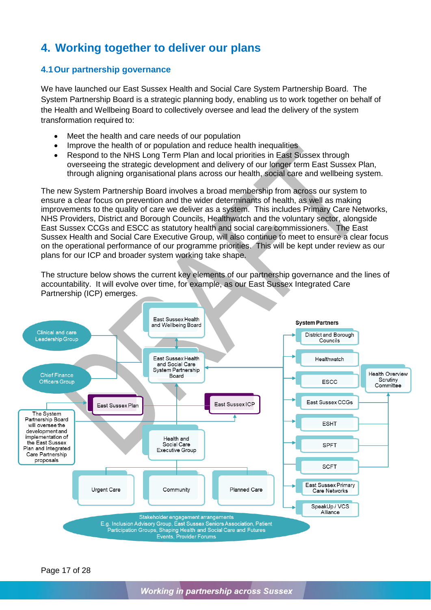# <span id="page-19-0"></span>**4. Working together to deliver our plans**

### <span id="page-19-1"></span>**4.1Our partnership governance**

We have launched our East Sussex Health and Social Care System Partnership Board. The System Partnership Board is a strategic planning body, enabling us to work together on behalf of the Health and Wellbeing Board to collectively oversee and lead the delivery of the system transformation required to:

- Meet the health and care needs of our population
- Improve the health of or population and reduce health inequalities
- Respond to the NHS Long Term Plan and local priorities in East Sussex through overseeing the strategic development and delivery of our longer term East Sussex Plan, through aligning organisational plans across our health, social care and wellbeing system.

The new System Partnership Board involves a broad membership from across our system to ensure a clear focus on prevention and the wider determinants of health, as well as making improvements to the quality of care we deliver as a system. This includes Primary Care Networks, NHS Providers, District and Borough Councils, Healthwatch and the voluntary sector, alongside East Sussex CCGs and ESCC as statutory health and social care commissioners. The East Sussex Health and Social Care Executive Group, will also continue to meet to ensure a clear focus on the operational performance of our programme priorities. This will be kept under review as our plans for our ICP and broader system working take shape.

The structure below shows the current key elements of our partnership governance and the lines of accountability. It will evolve over time, for example, as our East Sussex Integrated Care Partnership (ICP) emerges.



Page 17 of 28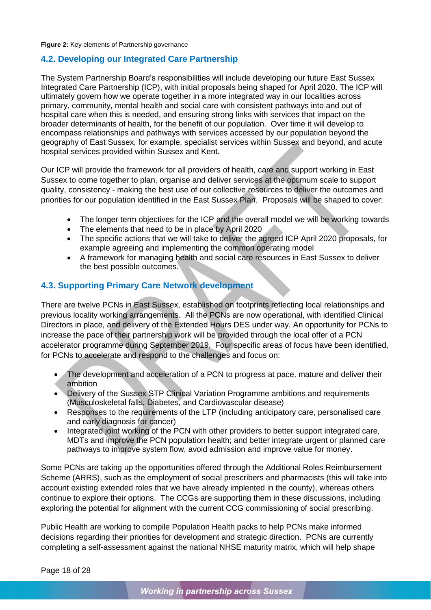#### **Figure 2:** Key elements of Partnership governance

### <span id="page-20-0"></span>**4.2. Developing our Integrated Care Partnership**

The System Partnership Board's responsibilities will include developing our future East Sussex Integrated Care Partnership (ICP), with initial proposals being shaped for April 2020. The ICP will ultimately govern how we operate together in a more integrated way in our localities across primary, community, mental health and social care with consistent pathways into and out of hospital care when this is needed, and ensuring strong links with services that impact on the broader determinants of health, for the benefit of our population. Over time it will develop to encompass relationships and pathways with services accessed by our population beyond the geography of East Sussex, for example, specialist services within Sussex and beyond, and acute hospital services provided within Sussex and Kent.

Our ICP will provide the framework for all providers of health, care and support working in East Sussex to come together to plan, organise and deliver services at the optimum scale to support quality, consistency - making the best use of our collective resources to deliver the outcomes and priorities for our population identified in the East Sussex Plan. Proposals will be shaped to cover:

- The longer term objectives for the ICP and the overall model we will be working towards
- The elements that need to be in place by April 2020
- The specific actions that we will take to deliver the agreed ICP April 2020 proposals, for example agreeing and implementing the common operating model
- A framework for managing health and social care resources in East Sussex to deliver the best possible outcomes.

### <span id="page-20-1"></span>**4.3. Supporting Primary Care Network development**

There are twelve PCNs in East Sussex, established on footprints reflecting local relationships and previous locality working arrangements. All the PCNs are now operational, with identified Clinical Directors in place, and delivery of the Extended Hours DES under way. An opportunity for PCNs to increase the pace of their partnership work will be provided through the local offer of a PCN accelerator programme during September 2019. Four specific areas of focus have been identified, for PCNs to accelerate and respond to the challenges and focus on:

- The development and acceleration of a PCN to progress at pace, mature and deliver their ambition
- Delivery of the Sussex STP Clinical Variation Programme ambitions and requirements (Musculoskeletal falls, Diabetes, and Cardiovascular disease)
- Responses to the requirements of the LTP (including anticipatory care, personalised care and early diagnosis for cancer)
- Integrated joint working of the PCN with other providers to better support integrated care, MDTs and improve the PCN population health; and better integrate urgent or planned care pathways to improve system flow, avoid admission and improve value for money.

Some PCNs are taking up the opportunities offered through the Additional Roles Reimbursement Scheme (ARRS), such as the employment of social prescribers and pharmacists (this will take into account existing extended roles that we have already implented in the county), whereas others continue to explore their options. The CCGs are supporting them in these discussions, including exploring the potential for alignment with the current CCG commissioning of social prescribing.

Public Health are working to compile Population Health packs to help PCNs make informed decisions regarding their priorities for development and strategic direction. PCNs are currently completing a self-assessment against the national NHSE maturity matrix, which will help shape

Page 18 of 28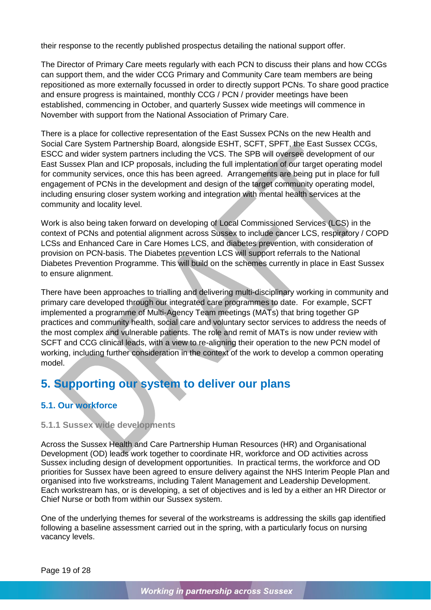their response to the recently published prospectus detailing the national support offer.

The Director of Primary Care meets regularly with each PCN to discuss their plans and how CCGs can support them, and the wider CCG Primary and Community Care team members are being repositioned as more externally focussed in order to directly support PCNs. To share good practice and ensure progress is maintained, monthly CCG / PCN / provider meetings have been established, commencing in October, and quarterly Sussex wide meetings will commence in November with support from the National Association of Primary Care.

There is a place for collective representation of the East Sussex PCNs on the new Health and Social Care System Partnership Board, alongside ESHT, SCFT, SPFT, the East Sussex CCGs, ESCC and wider system partners including the VCS. The SPB will oversee development of our East Sussex Plan and ICP proposals, including the full implentation of our target operating model for community services, once this has been agreed. Arrangements are being put in place for full engagement of PCNs in the development and design of the target community operating model, including ensuring closer system working and integration with mental health services at the community and locality level.

Work is also being taken forward on developing of Local Commissioned Services (LCS) in the context of PCNs and potential alignment across Sussex to include cancer LCS, respiratory / COPD LCSs and Enhanced Care in Care Homes LCS, and diabetes prevention, with consideration of provision on PCN-basis. The Diabetes prevention LCS will support referrals to the National Diabetes Prevention Programme. This will build on the schemes currently in place in East Sussex to ensure alignment.

There have been approaches to trialling and delivering multi-disciplinary working in community and primary care developed through our integrated care programmes to date. For example, SCFT implemented a programme of Multi-Agency Team meetings (MATs) that bring together GP practices and community health, social care and voluntary sector services to address the needs of the most complex and vulnerable patients. The role and remit of MATs is now under review with SCFT and CCG clinical leads, with a view to re-aligning their operation to the new PCN model of working, including further consideration in the context of the work to develop a common operating model.

# <span id="page-21-0"></span>**5. Supporting our system to deliver our plans**

# <span id="page-21-1"></span>**5.1. Our workforce**

### <span id="page-21-2"></span>**5.1.1 Sussex wide developments**

Across the Sussex Health and Care Partnership Human Resources (HR) and Organisational Development (OD) leads work together to coordinate HR, workforce and OD activities across Sussex including design of development opportunities. In practical terms, the workforce and OD priorities for Sussex have been agreed to ensure delivery against the NHS Interim People Plan and organised into five workstreams, including Talent Management and Leadership Development. Each workstream has, or is developing, a set of objectives and is led by a either an HR Director or Chief Nurse or both from within our Sussex system.

One of the underlying themes for several of the workstreams is addressing the skills gap identified following a baseline assessment carried out in the spring, with a particularly focus on nursing vacancy levels.

Page 19 of 28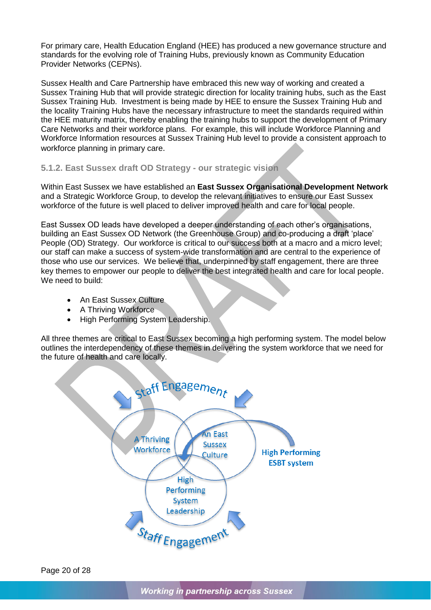For primary care, Health Education England (HEE) has produced a new governance structure and standards for the evolving role of Training Hubs, previously known as Community Education Provider Networks (CEPNs).

Sussex Health and Care Partnership have embraced this new way of working and created a Sussex Training Hub that will provide strategic direction for locality training hubs, such as the East Sussex Training Hub. Investment is being made by HEE to ensure the Sussex Training Hub and the locality Training Hubs have the necessary infrastructure to meet the standards required within the HEE maturity matrix, thereby enabling the training hubs to support the development of Primary Care Networks and their workforce plans. For example, this will include Workforce Planning and Workforce Information resources at Sussex Training Hub level to provide a consistent approach to workforce planning in primary care.

### <span id="page-22-0"></span>**5.1.2. East Sussex draft OD Strategy - our strategic vision**

Within East Sussex we have established an **East Sussex Organisational Development Network** and a Strategic Workforce Group, to develop the relevant initiatives to ensure our East Sussex workforce of the future is well placed to deliver improved health and care for local people.

East Sussex OD leads have developed a deeper understanding of each other's organisations, building an East Sussex OD Network (the Greenhouse Group) and co-producing a draft 'place' People (OD) Strategy. Our workforce is critical to our success both at a macro and a micro level: our staff can make a success of system-wide transformation and are central to the experience of those who use our services. We believe that, underpinned by staff engagement, there are three key themes to empower our people to deliver the best integrated health and care for local people. We need to build:

- An East Sussex Culture
- A Thriving Workforce
- High Performing System Leadership.

All three themes are critical to East Sussex becoming a high performing system. The model below outlines the interdependency of these themes in delivering the system workforce that we need for the future of health and care locally.

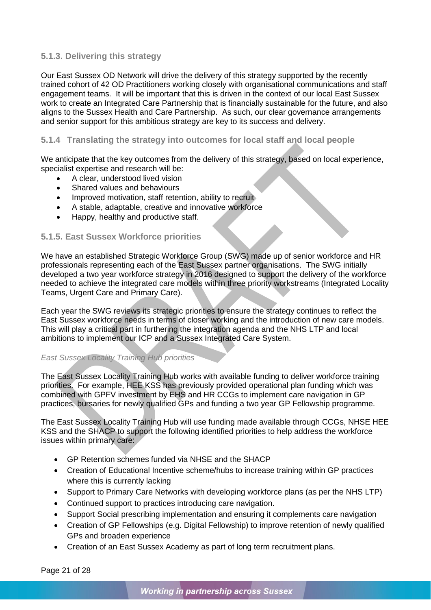### <span id="page-23-0"></span>**5.1.3. Delivering this strategy**

Our East Sussex OD Network will drive the delivery of this strategy supported by the recently trained cohort of 42 OD Practitioners working closely with organisational communications and staff engagement teams. It will be important that this is driven in the context of our local East Sussex work to create an Integrated Care Partnership that is financially sustainable for the future, and also aligns to the Sussex Health and Care Partnership. As such, our clear governance arrangements and senior support for this ambitious strategy are key to its success and delivery.

### <span id="page-23-1"></span>**5.1.4 Translating the strategy into outcomes for local staff and local people**

We anticipate that the key outcomes from the delivery of this strategy, based on local experience, specialist expertise and research will be:

- A clear, understood lived vision
- Shared values and behaviours
- Improved motivation, staff retention, ability to recruit
- A stable, adaptable, creative and innovative workforce
- Happy, healthy and productive staff.

### <span id="page-23-2"></span>**5.1.5. East Sussex Workforce priorities**

We have an established Strategic Workforce Group (SWG) made up of senior workforce and HR professionals representing each of the East Sussex partner organisations. The SWG initially developed a two year workforce strategy in 2016 designed to support the delivery of the workforce needed to achieve the integrated care models within three priority workstreams (Integrated Locality Teams, Urgent Care and Primary Care).

Each year the SWG reviews its strategic priorities to ensure the strategy continues to reflect the East Sussex workforce needs in terms of closer working and the introduction of new care models. This will play a critical part in furthering the integration agenda and the NHS LTP and local ambitions to implement our ICP and a Sussex Integrated Care System.

### *East Sussex Locality Training Hub priorities*

The East Sussex Locality Training Hub works with available funding to deliver workforce training priorities. For example, HEE KSS has previously provided operational plan funding which was combined with GPFV investment by EHS and HR CCGs to implement care navigation in GP practices, bursaries for newly qualified GPs and funding a two year GP Fellowship programme.

The East Sussex Locality Training Hub will use funding made available through CCGs, NHSE HEE KSS and the SHACP to support the following identified priorities to help address the workforce issues within primary care:

- GP Retention schemes funded via NHSE and the SHACP
- Creation of Educational Incentive scheme/hubs to increase training within GP practices where this is currently lacking
- Support to Primary Care Networks with developing workforce plans (as per the NHS LTP)
- Continued support to practices introducing care navigation.
- Support Social prescribing implementation and ensuring it complements care navigation
- Creation of GP Fellowships (e.g. Digital Fellowship) to improve retention of newly qualified GPs and broaden experience
- Creation of an East Sussex Academy as part of long term recruitment plans.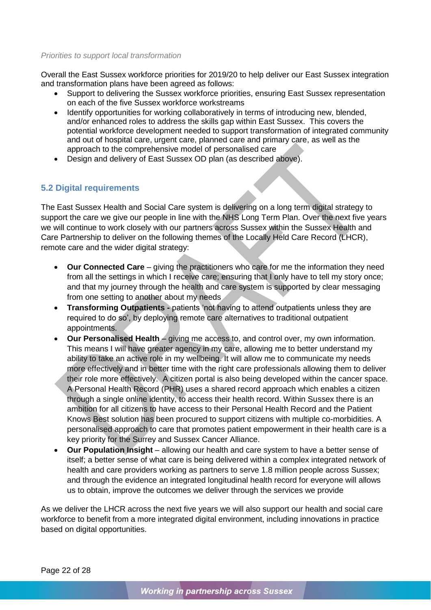#### *Priorities to support local transformation*

Overall the East Sussex workforce priorities for 2019/20 to help deliver our East Sussex integration and transformation plans have been agreed as follows:

- Support to delivering the Sussex workforce priorities, ensuring East Sussex representation on each of the five Sussex workforce workstreams
- Identify opportunities for working collaboratively in terms of introducing new, blended, and/or enhanced roles to address the skills gap within East Sussex. This covers the potential workforce development needed to support transformation of integrated community and out of hospital care, urgent care, planned care and primary care, as well as the approach to the comprehensive model of personalised care
- Design and delivery of East Sussex OD plan (as described above).

### <span id="page-24-0"></span>**5.2 Digital requirements**

The East Sussex Health and Social Care system is delivering on a long term digital strategy to support the care we give our people in line with the NHS Long Term Plan. Over the next five years we will continue to work closely with our partners across Sussex within the Sussex Health and Care Partnership to deliver on the following themes of the Locally Held Care Record (LHCR), remote care and the wider digital strategy:

- **Our Connected Care** giving the practitioners who care for me the information they need from all the settings in which I receive care; ensuring that I only have to tell my story once; and that my journey through the health and care system is supported by clear messaging from one setting to another about my needs
- **Transforming Outpatients -** patients 'not having to attend outpatients unless they are required to do so', by deploying remote care alternatives to traditional outpatient appointments.
- **Our Personalised Health** giving me access to, and control over, my own information. This means I will have greater agency in my care, allowing me to better understand my ability to take an active role in my wellbeing. It will allow me to communicate my needs more effectively and in better time with the right care professionals allowing them to deliver their role more effectively. A citizen portal is also being developed within the cancer space. A Personal Health Record (PHR) uses a shared record approach which enables a citizen through a single online identity, to access their health record. Within Sussex there is an ambition for all citizens to have access to their Personal Health Record and the Patient Knows Best solution has been procured to support citizens with multiple co-morbidities. A personalised approach to care that promotes patient empowerment in their health care is a key priority for the Surrey and Sussex Cancer Alliance.
- **Our Population Insight** allowing our health and care system to have a better sense of itself; a better sense of what care is being delivered within a complex integrated network of health and care providers working as partners to serve 1.8 million people across Sussex; and through the evidence an integrated longitudinal health record for everyone will allows us to obtain, improve the outcomes we deliver through the services we provide

As we deliver the LHCR across the next five years we will also support our health and social care workforce to benefit from a more integrated digital environment, including innovations in practice based on digital opportunities.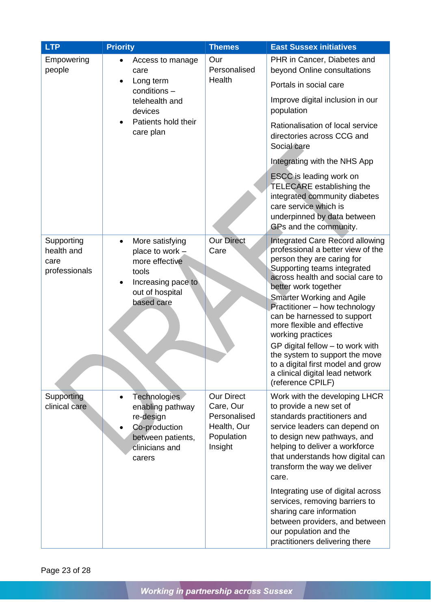| <b>LTP</b>                                        | <b>Priority</b>                                                                                                                     | <b>Themes</b>                                                                          | <b>East Sussex initiatives</b>                                                                                                                                                                                                                                                                                                                                                                                                                                                                                                  |
|---------------------------------------------------|-------------------------------------------------------------------------------------------------------------------------------------|----------------------------------------------------------------------------------------|---------------------------------------------------------------------------------------------------------------------------------------------------------------------------------------------------------------------------------------------------------------------------------------------------------------------------------------------------------------------------------------------------------------------------------------------------------------------------------------------------------------------------------|
| Empowering<br>people                              | Access to manage<br>care                                                                                                            | Our<br>Personalised<br>Health                                                          | PHR in Cancer, Diabetes and<br>beyond Online consultations                                                                                                                                                                                                                                                                                                                                                                                                                                                                      |
|                                                   | Long term<br>conditions -                                                                                                           |                                                                                        | Portals in social care                                                                                                                                                                                                                                                                                                                                                                                                                                                                                                          |
|                                                   | telehealth and<br>devices                                                                                                           |                                                                                        | Improve digital inclusion in our<br>population                                                                                                                                                                                                                                                                                                                                                                                                                                                                                  |
|                                                   | Patients hold their<br>care plan                                                                                                    |                                                                                        | Rationalisation of local service<br>directories across CCG and<br>Social care                                                                                                                                                                                                                                                                                                                                                                                                                                                   |
|                                                   |                                                                                                                                     |                                                                                        | Integrating with the NHS App                                                                                                                                                                                                                                                                                                                                                                                                                                                                                                    |
|                                                   |                                                                                                                                     |                                                                                        | ESCC is leading work on<br><b>TELECARE</b> establishing the<br>integrated community diabetes<br>care service which is<br>underpinned by data between<br>GPs and the community.                                                                                                                                                                                                                                                                                                                                                  |
| Supporting<br>health and<br>care<br>professionals | More satisfying<br>$\bullet$<br>place to work $-$<br>more effective<br>tools<br>Increasing pace to<br>out of hospital<br>based care | <b>Our Direct</b><br>Care                                                              | <b>Integrated Care Record allowing</b><br>professional a better view of the<br>person they are caring for<br>Supporting teams integrated<br>across health and social care to<br>better work together<br><b>Smarter Working and Agile</b><br>Practitioner - how technology<br>can be harnessed to support<br>more flexible and effective<br>working practices<br>GP digital fellow - to work with<br>the system to support the move<br>to a digital first model and grow<br>a clinical digital lead network<br>(reference CPILF) |
| Supporting<br>clinical care                       | <b>Technologies</b><br>enabling pathway<br>re-design<br>Co-production<br>between patients,<br>clinicians and<br>carers              | <b>Our Direct</b><br>Care, Our<br>Personalised<br>Health, Our<br>Population<br>Insight | Work with the developing LHCR<br>to provide a new set of<br>standards practitioners and<br>service leaders can depend on<br>to design new pathways, and<br>helping to deliver a workforce<br>that understands how digital can<br>transform the way we deliver<br>care.<br>Integrating use of digital across<br>services, removing barriers to<br>sharing care information<br>between providers, and between<br>our population and the<br>practitioners delivering there                                                         |

Page 23 of 28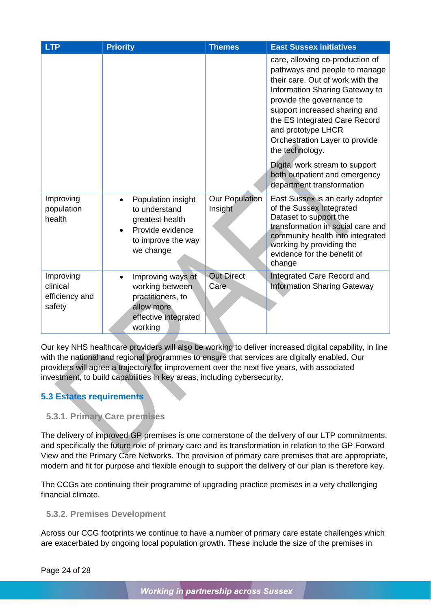| <b>LTP</b>                                        | <b>Priority</b>                                                                                               | <b>Themes</b>                    | <b>East Sussex initiatives</b>                                                                                                                                                                                                                                                                                                                                                                                   |
|---------------------------------------------------|---------------------------------------------------------------------------------------------------------------|----------------------------------|------------------------------------------------------------------------------------------------------------------------------------------------------------------------------------------------------------------------------------------------------------------------------------------------------------------------------------------------------------------------------------------------------------------|
|                                                   |                                                                                                               |                                  | care, allowing co-production of<br>pathways and people to manage<br>their care. Out of work with the<br>Information Sharing Gateway to<br>provide the governance to<br>support increased sharing and<br>the ES Integrated Care Record<br>and prototype LHCR<br>Orchestration Layer to provide<br>the technology.<br>Digital work stream to support<br>both outpatient and emergency<br>department transformation |
| Improving<br>population<br>health                 | Population insight<br>to understand<br>greatest health<br>Provide evidence<br>to improve the way<br>we change | <b>Our Population</b><br>Insight | East Sussex is an early adopter<br>of the Sussex Integrated<br>Dataset to support the<br>transformation in social care and<br>community health into integrated<br>working by providing the<br>evidence for the benefit of<br>change                                                                                                                                                                              |
| Improving<br>clinical<br>efficiency and<br>safety | Improving ways of<br>working between<br>practitioners, to<br>allow more<br>effective integrated<br>working    | <b>Out Direct</b><br>Care        | Integrated Care Record and<br><b>Information Sharing Gateway</b>                                                                                                                                                                                                                                                                                                                                                 |

Our key NHS healthcare providers will also be working to deliver increased digital capability, in line with the national and regional programmes to ensure that services are digitally enabled. Our providers will agree a trajectory for improvement over the next five years, with associated investment, to build capabilities in key areas, including cybersecurity.

# <span id="page-26-0"></span>**5.3 Estates requirements**

# <span id="page-26-1"></span>**5.3.1. Primary Care premises**

The delivery of improved GP premises is one cornerstone of the delivery of our LTP commitments, and specifically the future role of primary care and its transformation in relation to the GP Forward View and the Primary Care Networks. The provision of primary care premises that are appropriate, modern and fit for purpose and flexible enough to support the delivery of our plan is therefore key.

The CCGs are continuing their programme of upgrading practice premises in a very challenging financial climate.

### <span id="page-26-2"></span>**5.3.2. Premises Development**

Across our CCG footprints we continue to have a number of primary care estate challenges which are exacerbated by ongoing local population growth. These include the size of the premises in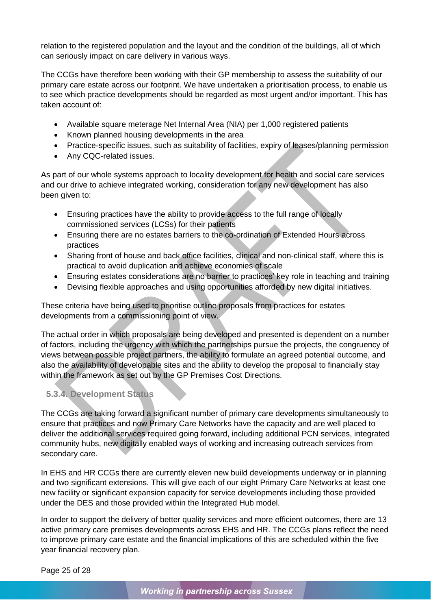relation to the registered population and the layout and the condition of the buildings, all of which can seriously impact on care delivery in various ways.

The CCGs have therefore been working with their GP membership to assess the suitability of our primary care estate across our footprint. We have undertaken a prioritisation process, to enable us to see which practice developments should be regarded as most urgent and/or important. This has taken account of:

- Available square meterage Net Internal Area (NIA) per 1,000 registered patients
- Known planned housing developments in the area
- Practice-specific issues, such as suitability of facilities, expiry of leases/planning permission
- Any CQC-related issues.

As part of our whole systems approach to locality development for health and social care services and our drive to achieve integrated working, consideration for any new development has also been given to:

- Ensuring practices have the ability to provide access to the full range of locally commissioned services (LCSs) for their patients
- Ensuring there are no estates barriers to the co-ordination of Extended Hours across practices
- Sharing front of house and back office facilities, clinical and non-clinical staff, where this is practical to avoid duplication and achieve economies of scale
- Ensuring estates considerations are no barrier to practices' key role in teaching and training
- Devising flexible approaches and using opportunities afforded by new digital initiatives.

These criteria have being used to prioritise outline proposals from practices for estates developments from a commissioning point of view.

The actual order in which proposals are being developed and presented is dependent on a number of factors, including the urgency with which the partnerships pursue the projects, the congruency of views between possible project partners, the ability to formulate an agreed potential outcome, and also the availability of developable sites and the ability to develop the proposal to financially stay within the framework as set out by the GP Premises Cost Directions.

# <span id="page-27-0"></span>**5.3.4. Development Status**

The CCGs are taking forward a significant number of primary care developments simultaneously to ensure that practices and now Primary Care Networks have the capacity and are well placed to deliver the additional services required going forward, including additional PCN services, integrated community hubs, new digitally enabled ways of working and increasing outreach services from secondary care.

In EHS and HR CCGs there are currently eleven new build developments underway or in planning and two significant extensions. This will give each of our eight Primary Care Networks at least one new facility or significant expansion capacity for service developments including those provided under the DES and those provided within the Integrated Hub model.

In order to support the delivery of better quality services and more efficient outcomes, there are 13 active primary care premises developments across EHS and HR. The CCGs plans reflect the need to improve primary care estate and the financial implications of this are scheduled within the five year financial recovery plan.

Page 25 of 28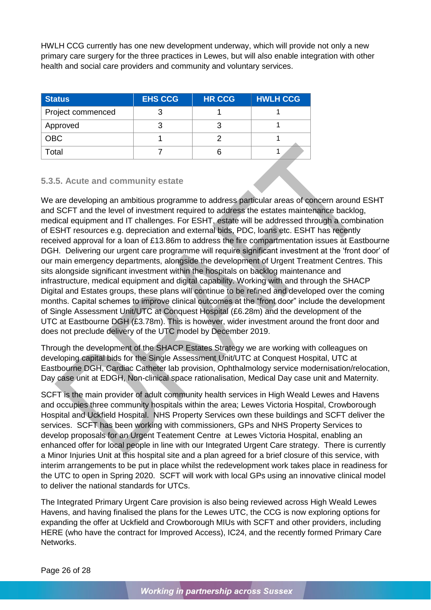HWLH CCG currently has one new development underway, which will provide not only a new primary care surgery for the three practices in Lewes, but will also enable integration with other health and social care providers and community and voluntary services.

| <b>Status</b>     | <b>EHS CCG</b> | <b>HR CCG</b> | <b>HWLH CCG</b> |
|-------------------|----------------|---------------|-----------------|
| Project commenced |                |               |                 |
| Approved          |                |               |                 |
| <b>OBC</b>        |                |               |                 |
| Гоtal             |                |               |                 |

### <span id="page-28-0"></span>**5.3.5. Acute and community estate**

We are developing an ambitious programme to address particular areas of concern around ESHT and SCFT and the level of investment required to address the estates maintenance backlog, medical equipment and IT challenges. For ESHT, estate will be addressed through a combination of ESHT resources e.g. depreciation and external bids, PDC, loans etc. ESHT has recently received approval for a loan of £13.86m to address the fire compartmentation issues at Eastbourne DGH. Delivering our urgent care programme will require significant investment at the 'front door' of our main emergency departments, alongside the development of Urgent Treatment Centres. This sits alongside significant investment within the hospitals on backlog maintenance and infrastructure, medical equipment and digital capability. Working with and through the SHACP Digital and Estates groups, these plans will continue to be refined and developed over the coming months. Capital schemes to improve clinical outcomes at the "front door" include the development of Single Assessment Unit/UTC at Conquest Hospital (£6.28m) and the development of the UTC at Eastbourne DGH (£3.78m). This is however, wider investment around the front door and does not preclude delivery of the UTC model by December 2019.

Through the development of the SHACP Estates Strategy we are working with colleagues on developing capital bids for the Single Assessment Unit/UTC at Conquest Hospital, UTC at Eastbourne DGH, Cardiac Catheter lab provision, Ophthalmology service modernisation/relocation, Day case unit at EDGH, Non-clinical space rationalisation, Medical Day case unit and Maternity.

SCFT is the main provider of adult community health services in High Weald Lewes and Havens and occupies three community hospitals within the area; Lewes Victoria Hospital, Crowborough Hospital and Uckfield Hospital. NHS Property Services own these buildings and SCFT deliver the services. SCFT has been working with commissioners, GPs and NHS Property Services to develop proposals for an Urgent Teatement Centre at Lewes Victoria Hospital, enabling an enhanced offer for local people in line with our Integrated Urgent Care strategy. There is currently a Minor Injuries Unit at this hospital site and a plan agreed for a brief closure of this service, with interim arrangements to be put in place whilst the redevelopment work takes place in readiness for the UTC to open in Spring 2020. SCFT will work with local GPs using an innovative clinical model to deliver the national standards for UTCs.

The Integrated Primary Urgent Care provision is also being reviewed across High Weald Lewes Havens, and having finalised the plans for the Lewes UTC, the CCG is now exploring options for expanding the offer at Uckfield and Crowborough MIUs with SCFT and other providers, including HERE (who have the contract for Improved Access), IC24, and the recently formed Primary Care Networks.

Page 26 of 28